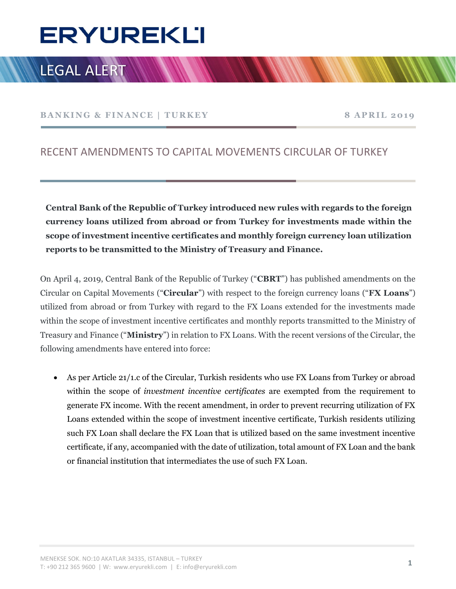# Ī

## LEGAL ALERT

BANKING & FINANCE | TURKEY 8 APRIL 2019

### RECENT AMENDMENTS TO CAPITAL MOVEMENTS CIRCULAR OF TURKEY

Central Bank of the Republic of Turkey introduced new rules with regards to the foreign currency loans utilized from abroad or from Turkey for investments made within the scope of investment incentive certificates and monthly foreign currency loan utilization reports to be transmitted to the Ministry of Treasury and Finance.

On April 4, 2019, Central Bank of the Republic of Turkey ("CBRT") has published amendments on the Circular on Capital Movements ("**Circular**") with respect to the foreign currency loans ("**FX Loans**") utilized from abroad or from Turkey with regard to the FX Loans extended for the investments made within the scope of investment incentive certificates and monthly reports transmitted to the Ministry of Treasury and Finance ("Ministry") in relation to FX Loans. With the recent versions of the Circular, the following amendments have entered into force:

 As per Article 21/1.c of the Circular, Turkish residents who use FX Loans from Turkey or abroad within the scope of *investment* incentive certificates are exempted from the requirement to generate FX income. With the recent amendment, in order to prevent recurring utilization of FX Loans extended within the scope of investment incentive certificate, Turkish residents utilizing such FX Loan shall declare the FX Loan that is utilized based on the same investment incentive certificate, if any, accompanied with the date of utilization, total amount of FX Loan and the bank or financial institution that intermediates the use of such FX Loan.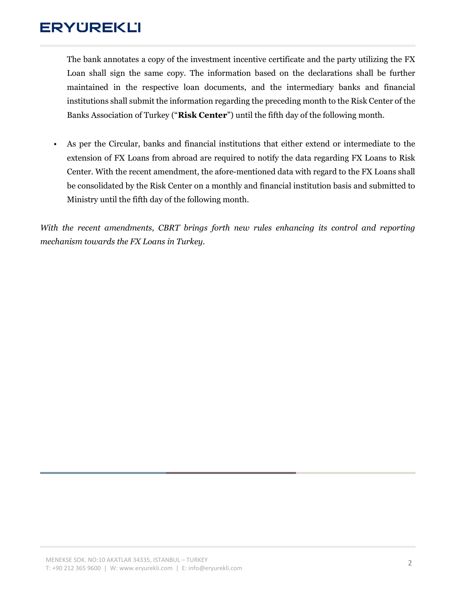## **ERYUREKLI**

The bank annotates a copy of the investment incentive certificate and the party utilizing the FX Loan shall sign the same copy. The information based on the declarations shall be further maintained in the respective loan documents, and the intermediary banks and financial institutions shall submit the information regarding the preceding month to the Risk Center of the Banks Association of Turkey ("Risk Center") until the fifth day of the following month.

• As per the Circular, banks and financial institutions that either extend or intermediate to the extension of FX Loans from abroad are required to notify the data regarding FX Loans to Risk Center. With the recent amendment, the afore-mentioned data with regard to the FX Loans shall be consolidated by the Risk Center on a monthly and financial institution basis and submitted to Ministry until the fifth day of the following month.

With the recent amendments, CBRT brings forth new rules enhancing its control and reporting mechanism towards the FX Loans in Turkey.